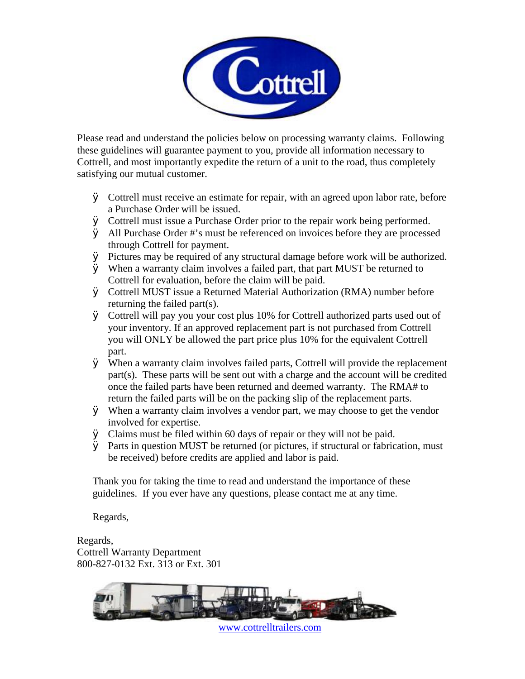

Please read and understand the policies below on processing warranty claims. Following these guidelines will guarantee payment to you, provide all information necessary to Cottrell, and most importantly expedite the return of a unit to the road, thus completely satisfying our mutual customer.

- Ø Cottrell must receive an estimate for repair, with an agreed upon labor rate, before a Purchase Order will be issued.
- Ø Cottrell must issue a Purchase Order prior to the repair work being performed.
- Ø All Purchase Order #'s must be referenced on invoices before they are processed through Cottrell for payment.
- Ø Pictures may be required of any structural damage before work will be authorized.
- Ø When a warranty claim involves a failed part, that part MUST be returned to Cottrell for evaluation, before the claim will be paid.
- Ø Cottrell MUST issue a Returned Material Authorization (RMA) number before returning the failed part(s).
- Ø Cottrell will pay you your cost plus 10% for Cottrell authorized parts used out of your inventory. If an approved replacement part is not purchased from Cottrell you will ONLY be allowed the part price plus 10% for the equivalent Cottrell part.
- Ø When a warranty claim involves failed parts, Cottrell will provide the replacement part(s). These parts will be sent out with a charge and the account will be credited once the failed parts have been returned and deemed warranty. The RMA# to return the failed parts will be on the packing slip of the replacement parts.
- Ø When a warranty claim involves a vendor part, we may choose to get the vendor involved for expertise.
- Ø Claims must be filed within 60 days of repair or they will not be paid.
- Ø Parts in question MUST be returned (or pictures, if structural or fabrication, must be received) before credits are applied and labor is paid.

Thank you for taking the time to read and understand the importance of these guidelines. If you ever have any questions, please contact me at any time.

Regards,

Regards, Cottrell Warranty Department 800-827-0132 Ext. 313 or Ext. 301



[www.cottrelltrailers.com](http://www.cottrelltrailers.com)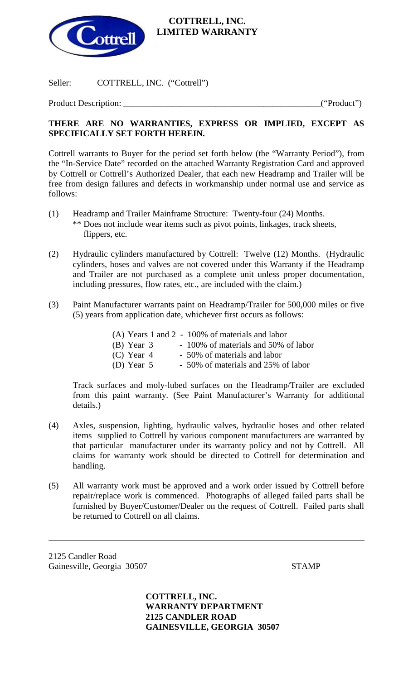

## **COTTRELL, INC. LIMITED WARRANTY**

Seller: COTTRELL, INC. ("Cottrell")

Product Description: \_\_\_\_\_\_\_\_\_\_\_\_\_\_\_\_\_\_\_\_\_\_\_\_\_\_\_\_\_\_\_\_\_\_\_\_\_\_\_\_\_\_\_\_\_("Product")

## **THERE ARE NO WARRANTIES, EXPRESS OR IMPLIED, EXCEPT AS SPECIFICALLY SET FORTH HEREIN.**

Cottrell warrants to Buyer for the period set forth below (the "Warranty Period"), from the "In-Service Date" recorded on the attached Warranty Registration Card and approved by Cottrell or Cottrell's Authorized Dealer, that each new Headramp and Trailer will be free from design failures and defects in workmanship under normal use and service as follows:

- (1) Headramp and Trailer Mainframe Structure: Twenty-four (24) Months. \*\* Does not include wear items such as pivot points, linkages, track sheets, flippers, etc.
- (2) Hydraulic cylinders manufactured by Cottrell: Twelve (12) Months. (Hydraulic cylinders, hoses and valves are not covered under this Warranty if the Headramp and Trailer are not purchased as a complete unit unless proper documentation, including pressures, flow rates, etc., are included with the claim.)
- (3) Paint Manufacturer warrants paint on Headramp/Trailer for 500,000 miles or five (5) years from application date, whichever first occurs as follows:

|              | $(A)$ Years 1 and 2 - 100% of materials and labor |
|--------------|---------------------------------------------------|
| $(B)$ Year 3 | - 100% of materials and 50% of labor              |
| $(C)$ Year 4 | - 50% of materials and labor                      |
| (D) Year $5$ | - 50% of materials and 25% of labor               |

Track surfaces and moly-lubed surfaces on the Headramp/Trailer are excluded from this paint warranty. (See Paint Manufacturer's Warranty for additional details.)

- (4) Axles, suspension, lighting, hydraulic valves, hydraulic hoses and other related items supplied to Cottrell by various component manufacturers are warranted by that particular manufacturer under its warranty policy and not by Cottrell. All claims for warranty work should be directed to Cottrell for determination and handling.
- (5) All warranty work must be approved and a work order issued by Cottrell before repair/replace work is commenced. Photographs of alleged failed parts shall be furnished by Buyer/Customer/Dealer on the request of Cottrell. Failed parts shall be returned to Cottrell on all claims.

2125 Candler Road Gainesville, Georgia 30507 STAMP

l

**COTTRELL, INC. WARRANTY DEPARTMENT 2125 CANDLER ROAD GAINESVILLE, GEORGIA 30507**